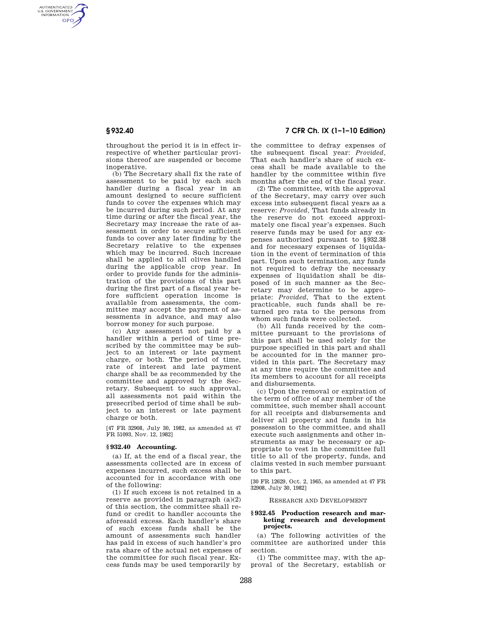AUTHENTICATED<br>U.S. GOVERNMENT<br>INFORMATION **GPO** 

> throughout the period it is in effect irrespective of whether particular provisions thereof are suspended or become inoperative.

> (b) The Secretary shall fix the rate of assessment to be paid by each such handler during a fiscal year in an amount designed to secure sufficient funds to cover the expenses which may be incurred during such period. At any time during or after the fiscal year, the Secretary may increase the rate of assessment in order to secure sufficient funds to cover any later finding by the Secretary relative to the expenses which may be incurred. Such increase shall be applied to all olives handled during the applicable crop year. In order to provide funds for the administration of the provisions of this part during the first part of a fiscal year before sufficient operation income is available from assessments, the committee may accept the payment of assessments in advance, and may also borrow money for such purpose.

> (c) Any assessment not paid by a handler within a period of time prescribed by the committee may be subject to an interest or late payment charge, or both. The period of time, rate of interest and late payment charge shall be as recommended by the committee and approved by the Secretary. Subsequent to such approval, all assessments not paid within the presecribed period of time shall be subject to an interest or late payment charge or both.

[47 FR 32908, July 30, 1982, as amended at 47 FR 51093, Nov. 12, 1982]

### **§ 932.40 Accounting.**

(a) If, at the end of a fiscal year, the assessments collected are in excess of expenses incurred, such excess shall be accounted for in accordance with one of the following:

(1) If such excess is not retained in a reserve as provided in paragraph  $(a)(2)$ of this section, the committee shall refund or credit to handler accounts the aforesaid excess. Each handler's share of such excess funds shall be the amount of assessments such handler has paid in excess of such handler's pro rata share of the actual net expenses of the committee for such fiscal year. Excess funds may be used temporarily by

# **§ 932.40 7 CFR Ch. IX (1–1–10 Edition)**

the committee to defray expenses of the subsequent fiscal year: *Provided,*  That each handler's share of such excess shall be made available to the handler by the committee within five months after the end of the fiscal year.

(2) The committee, with the approval of the Secretary, may carry over such excess into subsequent fiscal years as a reserve: *Provided,* That funds already in the reserve do not exceed approximately one fiscal year's expenses. Such reserve funds may be used for any expenses authorized pursuant to §932.38 and for necessary expenses of liquidation in the event of termination of this part. Upon such termination, any funds not required to defray the necessary expenses of liquidation shall be disposed of in such manner as the Secretary may determine to be appropriate: *Provided,* That to the extent practicable, such funds shall be returned pro rata to the persons from whom such funds were collected.

(b) All funds received by the committee pursuant to the provisions of this part shall be used solely for the purpose specified in this part and shall be accounted for in the manner provided in this part. The Secretary may at any time require the committee and its members to account for all receipts and disbursements.

(c) Upon the removal or expiration of the term of office of any member of the committee, such member shall account for all receipts and disbursements and deliver all property and funds in his possession to the committee, and shall execute such assignments and other instruments as may be necessary or appropriate to vest in the committee full title to all of the property, funds, and claims vested in such member pursuant to this part.

[30 FR 12629, Oct. 2, 1965, as amended at 47 FR 32908, July 30, 1982]

### RESEARCH AND DEVELOPMENT

#### **§ 932.45 Production research and marketing research and development projects.**

(a) The following activities of the committee are authorized under this section.

(1) The committee may, with the approval of the Secretary, establish or